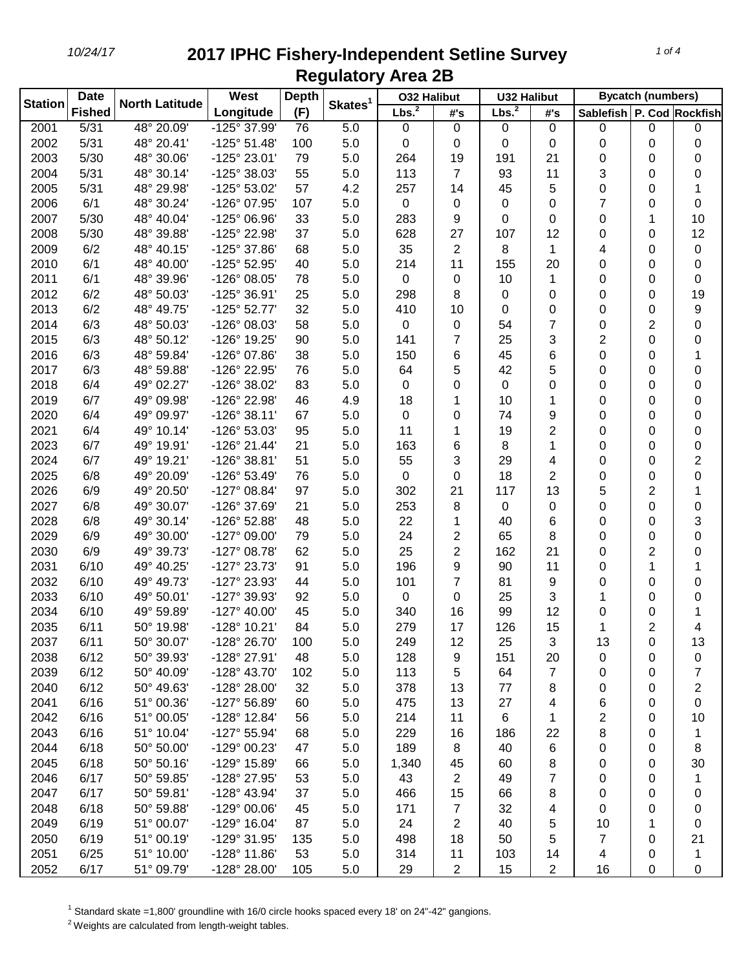| <b>Station</b> | <b>Date</b>   | <b>North Latitude</b> | West                  | <b>Depth</b> | Skates <sup>1</sup> | <b>032 Halibut</b> |                | <b>U32 Halibut</b> |                | <b>Bycatch (numbers)</b>  |                     |                     |
|----------------|---------------|-----------------------|-----------------------|--------------|---------------------|--------------------|----------------|--------------------|----------------|---------------------------|---------------------|---------------------|
|                | <b>Fished</b> |                       | Longitude             | (F)          |                     | Lbs. <sup>2</sup>  | #'s            | Lbs. <sup>2</sup>  | #'s            | Sablefish P. Cod Rockfish |                     |                     |
| 2001           | 5/31          | 48° 20.09'            | $-125^\circ 37.99'$   | 76           | 5.0                 | $\mathbf 0$        | $\pmb{0}$      | 0                  | $\mathbf 0$    | 0                         | 0                   | 0                   |
| 2002           | 5/31          | 48° 20.41'            | $-125^{\circ} 51.48'$ | 100          | 5.0                 | 0                  | 0              | 0                  | 0              | 0                         | 0                   | 0                   |
| 2003           | 5/30          | 48° 30.06'            | -125° 23.01'          | 79           | 5.0                 | 264                | 19             | 191                | 21             | 0                         | 0                   | 0                   |
| 2004           | 5/31          | 48° 30.14'            | -125° 38.03'          | 55           | 5.0                 | 113                | $\overline{7}$ | 93                 | 11             | 3                         | 0                   | 0                   |
| 2005           | 5/31          | 48° 29.98'            | -125° 53.02'          | 57           | 4.2                 | 257                | 14             | 45                 | 5              | 0                         | 0                   | 1                   |
| 2006           | 6/1           | 48° 30.24'            | -126° 07.95'          | 107          | 5.0                 | $\pmb{0}$          | 0              | 0                  | 0              | 7                         | 0                   | 0                   |
| 2007           | 5/30          | 48° 40.04'            | -125° 06.96'          | 33           | 5.0                 | 283                | 9              | $\Omega$           | 0              | 0                         | 1                   | 10                  |
| 2008           | 5/30          | 48° 39.88'            | -125° 22.98'          | 37           | 5.0                 | 628                | 27             | 107                | 12             | 0                         | 0                   | 12                  |
| 2009           | 6/2           | 48° 40.15'            | -125° 37.86'          | 68           | 5.0                 | 35                 | $\overline{2}$ | 8                  | 1              | 4                         | 0                   | 0                   |
| 2010           | 6/1           | 48° 40.00'            | -125° 52.95'          | 40           | 5.0                 | 214                | 11             | 155                | 20             | 0                         | 0                   | 0                   |
| 2011           | 6/1           | 48° 39.96'            | -126° 08.05'          | 78           | 5.0                 | 0                  | 0              | 10                 | 1              | 0                         | 0                   | 0                   |
| 2012           | 6/2           | 48° 50.03'            | -125° 36.91'          | 25           | 5.0                 | 298                | 8              | 0                  | 0              | 0                         | 0                   | 19                  |
| 2013           | 6/2           | 48° 49.75'            | $-125^{\circ}52.77'$  | 32           | 5.0                 | 410                | 10             | 0                  | 0              | 0                         | 0                   | 9                   |
| 2014           | 6/3           | 48° 50.03'            | -126° 08.03'          | 58           | 5.0                 | 0                  | 0              | 54                 | 7              | 0                         | 2                   | 0                   |
| 2015           | 6/3           | 48° 50.12'            | -126° 19.25'          | 90           | 5.0                 | 141                | 7              | 25                 | 3              | 2                         | 0                   | 0                   |
| 2016           | 6/3           | 48° 59.84'            | -126° 07.86'          | 38           | 5.0                 | 150                | 6              | 45                 | 6              | 0                         | 0                   | 1                   |
| 2017           | 6/3           | 48° 59.88'            | -126° 22.95'          | 76           | 5.0                 | 64                 | 5              | 42                 | 5              | 0                         | 0                   | 0                   |
| 2018           | 6/4           | 49° 02.27'            | -126° 38.02'          | 83           | 5.0                 | 0                  | 0              | 0                  | 0              | 0                         | 0                   | 0                   |
| 2019           | 6/7           | 49° 09.98'            | -126° 22.98'          | 46           | 4.9                 | 18                 | 1              | 10                 | 1              | 0                         | 0                   | 0                   |
| 2020           | 6/4           | 49° 09.97'            | $-126°38.11'$         | 67           | 5.0                 | 0                  | 0              | 74                 | 9              | 0                         | 0                   | 0                   |
| 2021           | 6/4           | 49° 10.14'            | -126° 53.03'          | 95           | 5.0                 | 11                 | 1              | 19                 | $\overline{2}$ | 0                         | 0                   | 0                   |
| 2023           | 6/7           | 49° 19.91'            | $-126°$ 21.44'        | 21           | 5.0                 | 163                | 6              | 8                  | 1              | 0                         | 0                   |                     |
| 2024           | 6/7           | 49° 19.21'            | -126° 38.81'          |              |                     |                    | 3              | 29                 |                |                           |                     | 0<br>$\overline{2}$ |
|                |               | 49° 20.09'            |                       | 51           | 5.0                 | 55<br>$\mathbf 0$  |                | 18                 | 4              | 0                         | 0                   |                     |
| 2025           | 6/8           |                       | -126° 53.49'          | 76           | 5.0                 |                    | 0              |                    | 2              | 0                         | 0<br>$\overline{2}$ | 0                   |
| 2026           | 6/9           | 49° 20.50'            | $-127^{\circ}$ 08.84' | 97           | 5.0                 | 302                | 21             | 117                | 13             | 5                         |                     | 1                   |
| 2027           | 6/8           | 49° 30.07'            | -126° 37.69'          | 21           | 5.0                 | 253                | 8              | 0                  | 0              | 0                         | 0                   | 0                   |
| 2028           | 6/8           | 49° 30.14'            | -126° 52.88'          | 48           | 5.0                 | 22                 | 1              | 40                 | 6              | 0                         | 0                   | 3                   |
| 2029           | 6/9           | 49° 30.00'            | -127° 09.00'          | 79           | 5.0                 | 24                 | 2              | 65                 | 8              | 0                         | 0                   | 0                   |
| 2030           | 6/9           | 49° 39.73'            | $-127^{\circ}$ 08.78' | 62           | 5.0                 | 25                 | $\overline{2}$ | 162                | 21             | 0                         | 2                   | 0                   |
| 2031           | 6/10          | 49° 40.25'            | $-127^{\circ} 23.73'$ | 91           | 5.0                 | 196                | 9              | 90                 | 11             | 0                         | 1                   | 1                   |
| 2032           | 6/10          | 49° 49.73'            | -127° 23.93'          | 44           | 5.0                 | 101                | 7              | 81                 | 9              | 0                         | 0                   | 0                   |
| 2033           | 6/10          | 49° 50.01'            | -127° 39.93'          | 92           | 5.0                 | $\pmb{0}$          | 0              | 25                 | 3              | 1                         | 0                   | 0                   |
| 2034           | 6/10          | 49° 59.89'            | $-127^{\circ}$ 40.00' | 45           | 5.0                 | 340                | 16             | 99                 | 12             | 0                         | 0                   |                     |
| 2035           | 6/11          | 50° 19.98'            | -128° 10.21'          | 84           | 5.0                 | 279                | 17             | 126                | 15             | 1                         | 2                   | 4                   |
| 2037           | 6/11          | 50° 30.07'            | -128° 26.70'          | 100          | 5.0                 | 249                | 12             | 25                 | 3              | 13                        | 0                   | 13                  |
| 2038           | 6/12          | 50° 39.93'            | -128° 27.91'          | 48           | 5.0                 | 128                | 9              | 151                | 20             | 0                         | 0                   | 0                   |
| 2039           | 6/12          | 50° 40.09'            | -128° 43.70'          | 102          | 5.0                 | 113                | 5              | 64                 | 7              | 0                         | 0                   | 7                   |
| 2040           | 6/12          | 50° 49.63'            | -128° 28.00'          | 32           | 5.0                 | 378                | 13             | 77                 | 8              | 0                         | 0                   | 2                   |
| 2041           | 6/16          | 51° 00.36'            | -127° 56.89'          | 60           | 5.0                 | 475                | 13             | 27                 | 4              | 6                         | 0                   | 0                   |
| 2042           | 6/16          | 51° 00.05'            | -128° 12.84'          | 56           | 5.0                 | 214                | 11             | 6                  | 1              | 2                         | 0                   | 10                  |
| 2043           | 6/16          | 51° 10.04'            | -127° 55.94'          | 68           | 5.0                 | 229                | 16             | 186                | 22             | 8                         | 0                   | 1                   |
| 2044           | 6/18          | 50° 50.00'            | -129° 00.23'          | 47           | 5.0                 | 189                | 8              | 40                 | 6              | 0                         | 0                   | 8                   |
| 2045           | 6/18          | 50° 50.16'            | -129° 15.89'          | 66           | 5.0                 | 1,340              | 45             | 60                 | 8              | 0                         | 0                   | 30                  |
| 2046           | 6/17          | 50° 59.85'            | -128° 27.95'          | 53           | 5.0                 | 43                 | 2              | 49                 | 7              | 0                         | 0                   | 1                   |
| 2047           | 6/17          | 50° 59.81'            | -128° 43.94'          | 37           | 5.0                 | 466                | 15             | 66                 | 8              | 0                         | 0                   | 0                   |
| 2048           | 6/18          | 50° 59.88'            | $-129^{\circ}$ 00.06' | 45           | 5.0                 | 171                | 7              | 32                 | 4              | 0                         | 0                   | 0                   |
| 2049           | 6/19          | 51° 00.07'            | $-129°$ 16.04'        | 87           | 5.0                 | 24                 | 2              | 40                 | 5              | 10                        | 1                   | 0                   |
| 2050           | 6/19          | 51° 00.19'            | -129° 31.95'          | 135          | 5.0                 | 498                | 18             | 50                 | 5              | 7                         | 0                   | 21                  |
| 2051           | 6/25          | 51° 10.00'            | $-128^{\circ}$ 11.86' | 53           | 5.0                 | 314                | 11             | 103                | 14             | 4                         | 0                   | 1                   |
| 2052           | 6/17          | 51° 09.79'            | -128° 28.00'          | 105          | $5.0$               | 29                 | 2              | 15                 | $\overline{2}$ | 16                        | 0                   | 0                   |

Standard skate =1,800' groundline with 16/0 circle hooks spaced every 18' on 24"-42" gangions.

<sup>2</sup> Weights are calculated from length-weight tables.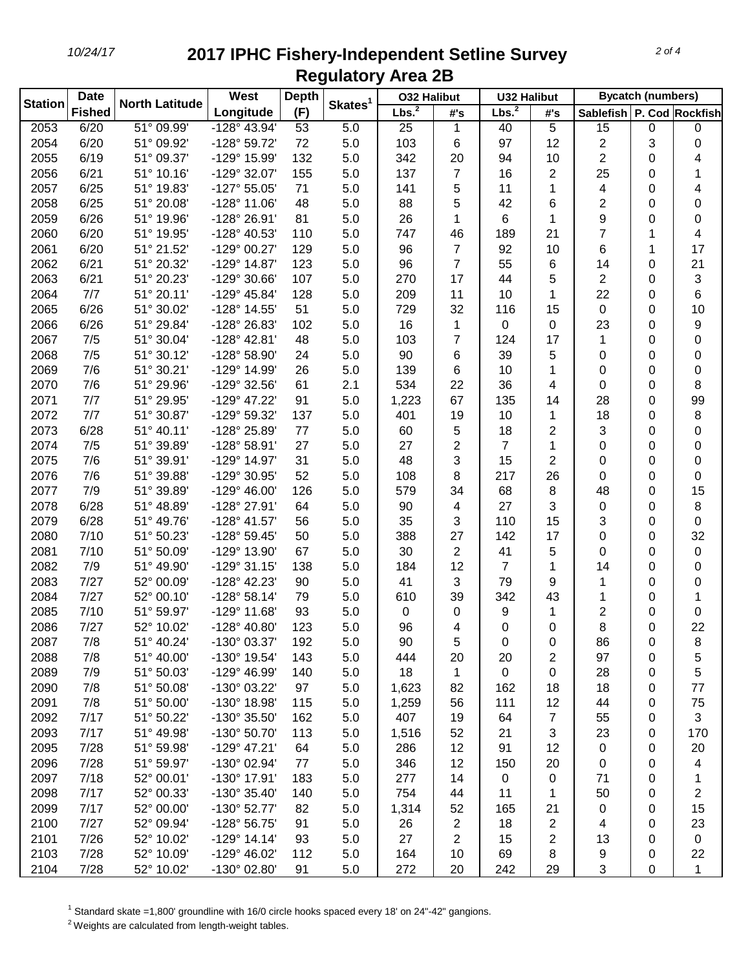| <b>Station</b> | <b>Date</b>   | <b>North Latitude</b>        | West                  | <b>Depth</b> | Skates <sup>1</sup> | <b>032 Halibut</b> |                | <b>U32 Halibut</b> |                | <b>Bycatch (numbers)</b>  |        |                |
|----------------|---------------|------------------------------|-----------------------|--------------|---------------------|--------------------|----------------|--------------------|----------------|---------------------------|--------|----------------|
|                | <b>Fished</b> |                              | Longitude             | (F)          |                     | Lbs. <sup>2</sup>  | #'s            | Lbs. <sup>2</sup>  | #'s            | Sablefish P. Cod Rockfish |        |                |
| 2053           | 6/20          | $\overline{51^{\circ}09.99}$ | $-128^{\circ}$ 43.94' | 53           | 5.0                 | 25                 | 1              | 40                 | 5              | 15                        | 0      | $\mathbf 0$    |
| 2054           | 6/20          | 51° 09.92'                   | -128° 59.72'          | 72           | 5.0                 | 103                | 6              | 97                 | 12             | 2                         | 3      | 0              |
| 2055           | 6/19          | 51° 09.37'                   | -129° 15.99'          | 132          | 5.0                 | 342                | 20             | 94                 | 10             | 2                         | 0      | 4              |
| 2056           | 6/21          | 51° 10.16'                   | -129° 32.07'          | 155          | 5.0                 | 137                | 7              | 16                 | $\overline{2}$ | 25                        | 0      | 1              |
| 2057           | 6/25          | 51° 19.83'                   | $-127°55.05'$         | 71           | 5.0                 | 141                | 5              | 11                 | 1              | 4                         | 0      | 4              |
| 2058           | 6/25          | 51° 20.08'                   | $-128°11.06'$         | 48           | 5.0                 | 88                 | 5              | 42                 | 6              | 2                         | 0      | 0              |
| 2059           | 6/26          | 51° 19.96'                   | -128° 26.91'          | 81           | 5.0                 | 26                 | 1              | 6                  | 1              | 9                         | 0      | 0              |
| 2060           | 6/20          | 51° 19.95'                   | -128° 40.53'          | 110          | 5.0                 | 747                | 46             | 189                | 21             | 7                         | 1      | 4              |
| 2061           | 6/20          | 51° 21.52'                   | -129° 00.27'          | 129          | 5.0                 | 96                 | 7              | 92                 | 10             | 6                         | 1      | 17             |
| 2062           | 6/21          | 51° 20.32'                   | -129° 14.87'          | 123          | 5.0                 | 96                 | $\overline{7}$ | 55                 | 6              | 14                        | 0      | 21             |
| 2063           | 6/21          | 51° 20.23'                   | -129° 30.66'          | 107          | 5.0                 | 270                | 17             | 44                 | 5              | $\overline{c}$            | 0      | 3              |
| 2064           | 7/7           | 51° 20.11'                   | -129° 45.84'          | 128          | 5.0                 | 209                | 11             | 10                 | 1              | 22                        | 0      | 6              |
| 2065           | 6/26          | 51° 30.02'                   | -128° 14.55'          | 51           | 5.0                 | 729                | 32             | 116                | 15             | 0                         | 0      | 10             |
| 2066           | 6/26          | 51° 29.84'                   | -128° 26.83'          | 102          | 5.0                 | 16                 | 1              | 0                  | 0              | 23                        | 0      | 9              |
| 2067           | 7/5           | 51° 30.04'                   | $-128^{\circ}$ 42.81' | 48           | 5.0                 | 103                | 7              | 124                | 17             | 1                         | 0      | 0              |
| 2068           | 7/5           | 51° 30.12'                   | -128° 58.90'          | 24           | 5.0                 | 90                 | 6              | 39                 | 5              | 0                         | 0      | 0              |
| 2069           | 7/6           | 51° 30.21'                   | -129° 14.99'          | 26           | 5.0                 | 139                | 6              | 10                 | 1              | 0                         | 0      | 0              |
| 2070           | 7/6           | 51° 29.96'                   | -129° 32.56'          | 61           | 2.1                 | 534                | 22             | 36                 | 4              | 0                         | 0      | 8              |
| 2071           | 7/7           | 51° 29.95'                   | -129° 47.22'          | 91           | 5.0                 | 1,223              | 67             | 135                | 14             | 28                        | 0      | 99             |
| 2072           | 7/7           | 51° 30.87'                   | -129° 59.32'          | 137          | 5.0                 | 401                | 19             | 10                 | 1              | 18                        | 0      | 8              |
| 2073           | 6/28          | 51° 40.11'                   | -128° 25.89'          | 77           | 5.0                 | 60                 | 5              | 18                 | 2              | 3                         | 0      | 0              |
| 2074           | 7/5           | 51° 39.89'                   | -128° 58.91'          | 27           | 5.0                 | 27                 | $\overline{2}$ | $\overline{7}$     | 1              | 0                         | 0      | 0              |
| 2075           | 7/6           | 51° 39.91'                   | -129° 14.97'          | 31           | 5.0                 | 48                 | 3              | 15                 | $\overline{2}$ | 0                         | 0      | 0              |
| 2076           | 7/6           | 51° 39.88'                   | -129° 30.95'          | 52           | 5.0                 | 108                | 8              | 217                | 26             | 0                         | 0      | 0              |
| 2077           | 7/9           | 51° 39.89'                   | $-129^{\circ}$ 46.00' | 126          | 5.0                 | 579                | 34             | 68                 | 8              | 48                        | 0      | 15             |
| 2078           | 6/28          | 51° 48.89'                   | -128° 27.91'          | 64           | 5.0                 | 90                 | 4              | 27                 | 3              | 0                         | 0      | 8              |
| 2079           | 6/28          | 51° 49.76'                   | -128° 41.57'          | 56           | 5.0                 | 35                 | 3              | 110                | 15             | 3                         | 0      | 0              |
| 2080           | 7/10          | 51° 50.23'                   | -128° 59.45'          | 50           | 5.0                 | 388                | 27             | 142                | 17             | 0                         | 0      | 32             |
| 2081           | 7/10          | 51° 50.09'                   | -129° 13.90'          | 67           | 5.0                 | 30                 | 2              | 41                 | 5              | 0                         | 0      | 0              |
| 2082           | 7/9           | 51° 49.90'                   | $-129°31.15'$         | 138          | 5.0                 | 184                | 12             | 7                  | 1              | 14                        | 0      | 0              |
| 2083           | 7/27          | 52° 00.09'                   | -128° 42.23'          | 90           | 5.0                 | 41                 | 3              | 79                 | 9              | 1                         | 0      | 0              |
| 2084           | 7/27          | 52° 00.10'                   | $-128°58.14'$         | 79           | 5.0                 | 610                | 39             | 342                | 43             | 1                         | 0      | 1              |
| 2085           | 7/10          | 51° 59.97'                   | $-129°$ 11.68'        | 93           | 5.0                 | 0                  | 0              | 9                  | 1              | 2                         | 0      | 0              |
| 2086           | 7/27          | 52° 10.02'                   | -128° 40.80'          | 123          | 5.0                 | 96                 | 4              | 0                  | 0              | 8                         | 0      | 22             |
| 2087           | 7/8           | 51° 40.24'                   | -130° 03.37'          | 192          | 5.0                 | 90                 |                | 0                  |                |                           |        |                |
| 2088           | 7/8           | 51° 40.00'                   | -130° 19.54'          | 143          | 5.0                 | 444                | 5<br>20        | 20                 | 0              | 86<br>97                  | 0<br>0 | 8<br>5         |
| 2089           | 7/9           | 51° 50.03'                   | -129° 46.99'          | 140          | 5.0                 | 18                 |                | 0                  | 2<br>0         | 28                        | 0      | 5              |
| 2090           | 7/8           | 51° 50.08'                   | -130° 03.22'          | 97           | 5.0                 |                    | 1<br>82        | 162                |                | 18                        |        | 77             |
| 2091           | 7/8           | 51° 50.00'                   | -130° 18.98'          | 115          | 5.0                 | 1,623              |                | 111                | 18<br>12       | 44                        | 0<br>0 | 75             |
|                |               |                              |                       |              |                     | 1,259              | 56             |                    |                |                           |        |                |
| 2092           | 7/17          | 51° 50.22'                   | -130° 35.50'          | 162          | 5.0                 | 407                | 19             | 64                 | $\overline{7}$ | 55                        | 0      | 3              |
| 2093           | 7/17          | 51° 49.98'                   | -130° 50.70'          | 113          | 5.0                 | 1,516              | 52             | 21                 | 3              | 23                        | 0      | 170            |
| 2095           | 7/28          | 51° 59.98'                   | -129° 47.21'          | 64           | 5.0                 | 286                | 12             | 91                 | 12             | 0                         | 0      | 20             |
| 2096           | 7/28          | 51° 59.97'                   | -130° 02.94'          | 77           | 5.0                 | 346                | 12             | 150                | 20             | 0                         | 0      | 4              |
| 2097           | 7/18          | 52° 00.01'                   | -130° 17.91'          | 183          | 5.0                 | 277                | 14             | $\mathbf 0$        | $\mathbf 0$    | 71                        | 0      | 1              |
| 2098           | 7/17          | 52° 00.33'                   | -130° 35.40'          | 140          | 5.0                 | 754                | 44             | 11                 | 1              | 50                        | 0      | $\overline{c}$ |
| 2099           | 7/17          | 52° 00.00'                   | -130° 52.77'          | 82           | 5.0                 | 1,314              | 52             | 165                | 21             | 0                         | 0      | 15             |
| 2100           | 7/27          | 52° 09.94'                   | -128° 56.75'          | 91           | 5.0                 | 26                 | 2              | 18                 | $\overline{2}$ | 4                         | 0      | 23             |
| 2101           | 7/26          | 52° 10.02'                   | $-129°$ 14.14'        | 93           | 5.0                 | 27                 | 2              | 15                 | 2              | 13                        | 0      | $\mathbf 0$    |
| 2103           | 7/28          | 52° 10.09'                   | -129° 46.02'          | 112          | 5.0                 | 164                | 10             | 69                 | 8              | 9                         | 0      | 22             |
| 2104           | 7/28          | 52° 10.02'                   | -130° 02.80'          | 91           | 5.0                 | 272                | 20             | 242                | 29             | 3                         | 0      | 1              |

Standard skate =1,800' groundline with 16/0 circle hooks spaced every 18' on 24"-42" gangions.

<sup>2</sup> Weights are calculated from length-weight tables.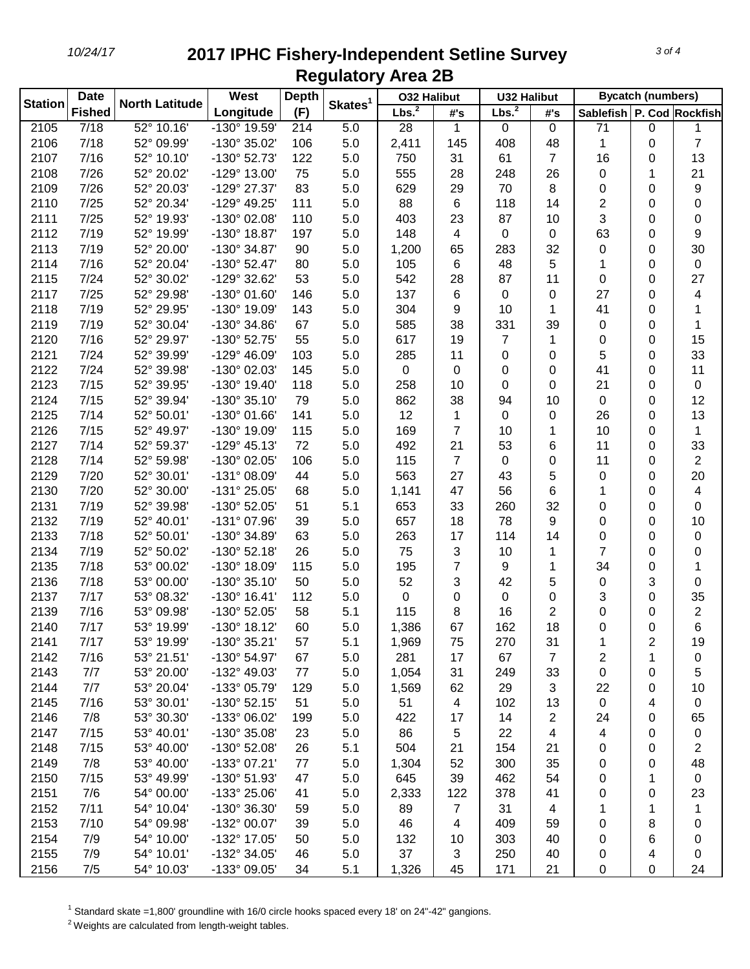| Skates <sup>1</sup><br>Lbs. <sup>2</sup><br>Lbs. <sup>2</sup><br>(F)<br><b>Fished</b><br>Longitude<br>Sablefish   P. Cod   Rockfish<br>#'s<br>#'s<br>$52^{\circ}$ 10.16'<br>$-130^{\circ}$ 19.59'<br>5.0<br>2105<br>7/18<br>28<br>$\mathbf 0$<br>71<br>0<br>214<br>1<br>0<br>1<br>7/18<br>$5.0\,$<br>$\overline{7}$<br>2106<br>52° 09.99'<br>-130° 35.02'<br>106<br>2,411<br>145<br>408<br>48<br>1<br>0<br>7/16<br>$5.0\,$<br>2107<br>52° 10.10'<br>-130° 52.73'<br>122<br>750<br>31<br>61<br>$\overline{7}$<br>16<br>13<br>0<br>7/26<br>52° 20.02'<br>75<br>2108<br>-129° 13.00'<br>5.0<br>555<br>28<br>248<br>26<br>0<br>1<br>21<br>83<br>9<br>2109<br>7/26<br>52° 20.03'<br>-129° 27.37'<br>5.0<br>629<br>70<br>8<br>0<br>0<br>29<br>111<br>14<br>2<br>2110<br>7/25<br>52° 20.34'<br>-129° 49.25'<br>5.0<br>88<br>6<br>118<br>0<br>0<br>3<br>7/25<br>110<br>2111<br>52° 19.93'<br>-130° 02.08'<br>5.0<br>403<br>23<br>87<br>10<br>0<br>0<br>7/19<br>52° 19.99'<br>5.0<br>63<br>9<br>2112<br>-130° 18.87'<br>197<br>148<br>4<br>0<br>0<br>0<br>5.0<br>32<br>30<br>2113<br>7/19<br>52° 20.00'<br>-130° 34.87'<br>90<br>1,200<br>65<br>283<br>0<br>0<br>5.0<br>5<br>2114<br>7/16<br>52° 20.04'<br>$-130^{\circ}$ 52.47'<br>80<br>105<br>6<br>48<br>1<br>0<br>$\pmb{0}$<br>5.0<br>2115<br>7/24<br>52° 30.02'<br>-129° 32.62'<br>53<br>542<br>28<br>87<br>11<br>0<br>27<br>0<br>137<br>27<br>2117<br>7/25<br>52° 29.98'<br>-130° 01.60'<br>146<br>5.0<br>6<br>0<br>0<br>0<br>4<br>2118<br>7/19<br>52° 29.95'<br>143<br>5.0<br>304<br>41<br>-130° 19.09'<br>9<br>10<br>1<br>0<br>7/19<br>52° 30.04'<br>-130° 34.86'<br>67<br>5.0<br>585<br>38<br>331<br>39<br>2119<br>0<br>0<br>1<br>55<br>2120<br>7/16<br>52° 29.97'<br>-130° 52.75'<br>5.0<br>617<br>15<br>19<br>7<br>1<br>0<br>0<br>103<br>2121<br>7/24<br>52° 39.99'<br>$-129^{\circ}$ 46.09'<br>5.0<br>285<br>5<br>33<br>11<br>0<br>0<br>0<br>0<br>2122<br>7/24<br>52° 39.98'<br>-130° 02.03'<br>145<br>5.0<br>11<br>0<br>0<br>41<br>0<br>0<br>2123<br>52° 39.95'<br>7/15<br>-130° 19.40'<br>118<br>5.0<br>258<br>21<br>$\pmb{0}$<br>10<br>0<br>0<br>0<br>2124<br>7/15<br>52° 39.94'<br>12<br>-130° 35.10'<br>79<br>5.0<br>862<br>38<br>0<br>0<br>94<br>10<br>52° 50.01'<br>12<br>2125<br>7/14<br>$-130^{\circ}$ 01.66'<br>141<br>5.0<br>1<br>0<br>26<br>0<br>13<br>0<br>7/15<br>$\overline{7}$<br>1<br>2126<br>52° 49.97'<br>-130° 19.09'<br>115<br>5.0<br>169<br>10<br>10<br>0<br>1<br>72<br>21<br>53<br>11<br>2127<br>7/14<br>52° 59.37'<br>$-129°$ 45.13'<br>5.0<br>492<br>6<br>0<br>33<br>$\overline{c}$<br>$5.0\,$<br>$\overline{7}$<br>2128<br>7/14<br>52° 59.98'<br>-130° 02.05'<br>106<br>115<br>0<br>11<br>0<br>0<br>2129<br>7/20<br>52° 30.01'<br>5.0<br>563<br>27<br>5<br>20<br>-131° 08.09'<br>44<br>43<br>0<br>0<br>7/20<br>2130<br>52° 30.00'<br>-131° 25.05'<br>5.0<br>1,141<br>47<br>56<br>6<br>0<br>4<br>68<br>1<br>7/19<br>5.1<br>32<br>2131<br>52° 39.98'<br>-130° 52.05'<br>51<br>653<br>33<br>260<br>0<br>0<br>0<br>5.0<br>9<br>2132<br>7/19<br>52° 40.01'<br>-131° 07.96'<br>39<br>657<br>18<br>78<br>0<br>10<br>0<br>5.0<br>14<br>2133<br>7/18<br>52° 50.01'<br>-130° 34.89'<br>63<br>263<br>17<br>114<br>0<br>0<br>0<br>7<br>2134<br>7/19<br>52° 50.02'<br>$-130^{\circ}$ 52.18<br>26<br>5.0<br>75<br>3<br>0<br>10<br>1<br>0<br>7<br>2135<br>7/18<br>53° 00.02'<br>115<br>5.0<br>195<br>34<br>-130° 18.09'<br>9<br>1<br>0<br>1<br>2136<br>7/18<br>53° 00.00'<br>$-130^{\circ}35.10'$<br>50<br>5.0<br>52<br>3<br>42<br>5<br>3<br>0<br>0<br>2137<br>7/17<br>53° 08.32'<br>$-130^{\circ}$ 16.41'<br>112<br>5.0<br>0<br>3<br>35<br>0<br>0<br>0<br>0<br>$\overline{\mathbf{c}}$<br>2139<br>7/16<br>53° 09.98'<br>-130° 52.05'<br>58<br>5.1<br>115<br>2<br>8<br>16<br>0<br>0<br>6<br>2140<br>7/17<br>53° 19.99'<br>$-130^{\circ}$ 18.12<br>60<br>5.0<br>1,386<br>67<br>162<br>18<br>0<br>0<br>7/17<br>53° 19.99'<br>-130° 35.21'<br>5.1<br>2141<br>57<br>75<br>270<br>31<br>2<br>1,969<br>1<br>19<br>2142<br>7/16<br>53° 21.51'<br>-130° 54.97'<br>67<br>5.0<br>281<br>67<br>$\overline{7}$<br>2<br>1<br>17<br>0<br>2143<br>7/7<br>53° 20.00'<br>-132° 49.03'<br>77<br>5.0<br>31<br>33<br>0<br>0<br>5<br>1,054<br>249<br>2144<br>7/7<br>53° 20.04'<br>129<br>5.0<br>1,569<br>29<br>3<br>-133° 05.79'<br>62<br>22<br>0<br>10<br>2145<br>7/16<br>53° 30.01'<br>$-130^{\circ}$ 52.15'<br>51<br>5.0<br>51<br>4<br>102<br>13<br>0<br>4<br>$\mathbf 0$<br>2146<br>7/8<br>53° 30.30'<br>-133° 06.02'<br>5.0<br>422<br>14<br>$\overline{c}$<br>199<br>17<br>24<br>0<br>65<br>5.0<br>2147<br>7/15<br>53° 40.01'<br>-130° 35.08'<br>23<br>86<br>22<br>$\overline{4}$<br>4<br>0<br>5<br>$\pmb{0}$<br>5.1<br>2148<br>7/15<br>53° 40.00'<br>504<br>21<br>$\overline{c}$<br>-130° 52.08'<br>26<br>21<br>154<br>0<br>0<br>5.0<br>2149<br>7/8<br>53° 40.00'<br>-133° 07.21'<br>1,304<br>52<br>300<br>35<br>48<br>77<br>0<br>0<br>5.0<br>2150<br>53° 49.99'<br>-130° 51.93'<br>645<br>39<br>462<br>54<br>7/15<br>47<br>0<br>1<br>$\mathbf 0$<br>2151<br>5.0<br>2,333<br>7/6<br>54° 00.00'<br>-133° 25.06'<br>41<br>122<br>378<br>41<br>0<br>0<br>23<br>2152<br>5.0<br>7/11<br>54° 10.04'<br>-130° 36.30'<br>59<br>89<br>$\overline{7}$<br>31<br>1<br>4<br>1<br>1<br>2153<br>7/10<br>5.0<br>46<br>54° 09.98'<br>-132° 00.07'<br>39<br>4<br>409<br>59<br>8<br>0<br>0<br>2154<br>54° 10.00'<br>5.0<br>7/9<br>-132° 17.05'<br>50<br>132<br>303<br>40<br>6<br>10<br>0<br>0<br>2155<br>54° 10.01'<br>-132° 34.05'<br>5.0<br>37<br>7/9<br>46<br>3<br>250<br>40<br>4<br>0<br>0<br>2156<br>7/5<br>54° 10.03'<br>-133° 09.05'<br>5.1<br>171<br>21<br>34<br>1,326<br>45<br>0<br>0<br>24 | <b>Station</b> | <b>Date</b> | <b>North Latitude</b> | West | <b>Depth</b> | <b>032 Halibut</b> | <b>U32 Halibut</b> |  | <b>Bycatch (numbers)</b> |  |  |
|----------------------------------------------------------------------------------------------------------------------------------------------------------------------------------------------------------------------------------------------------------------------------------------------------------------------------------------------------------------------------------------------------------------------------------------------------------------------------------------------------------------------------------------------------------------------------------------------------------------------------------------------------------------------------------------------------------------------------------------------------------------------------------------------------------------------------------------------------------------------------------------------------------------------------------------------------------------------------------------------------------------------------------------------------------------------------------------------------------------------------------------------------------------------------------------------------------------------------------------------------------------------------------------------------------------------------------------------------------------------------------------------------------------------------------------------------------------------------------------------------------------------------------------------------------------------------------------------------------------------------------------------------------------------------------------------------------------------------------------------------------------------------------------------------------------------------------------------------------------------------------------------------------------------------------------------------------------------------------------------------------------------------------------------------------------------------------------------------------------------------------------------------------------------------------------------------------------------------------------------------------------------------------------------------------------------------------------------------------------------------------------------------------------------------------------------------------------------------------------------------------------------------------------------------------------------------------------------------------------------------------------------------------------------------------------------------------------------------------------------------------------------------------------------------------------------------------------------------------------------------------------------------------------------------------------------------------------------------------------------------------------------------------------------------------------------------------------------------------------------------------------------------------------------------------------------------------------------------------------------------------------------------------------------------------------------------------------------------------------------------------------------------------------------------------------------------------------------------------------------------------------------------------------------------------------------------------------------------------------------------------------------------------------------------------------------------------------------------------------------------------------------------------------------------------------------------------------------------------------------------------------------------------------------------------------------------------------------------------------------------------------------------------------------------------------------------------------------------------------------------------------------------------------------------------------------------------------------------------------------------------------------------------------------------------------------------------------------------------------------------------------------------------------------------------------------------------------------------------------------------------------------------------------------------------------------------------------------------------------------------------------------------------------------------------------------------------------------------------------------------------------------------------------------------------------------------------------------------------------------------------------------------------------------------------------------------------------------------------------------------------------------------------------------------------------------------------------------------------------------------------------------------------------------------------------------------------------------------------------------------------------------------------------------------------------------------------------------------------------------------------------------------------------------------------------------------------------------------------------------------------------------------------------------------------------------------------------------------------------------------------|----------------|-------------|-----------------------|------|--------------|--------------------|--------------------|--|--------------------------|--|--|
|                                                                                                                                                                                                                                                                                                                                                                                                                                                                                                                                                                                                                                                                                                                                                                                                                                                                                                                                                                                                                                                                                                                                                                                                                                                                                                                                                                                                                                                                                                                                                                                                                                                                                                                                                                                                                                                                                                                                                                                                                                                                                                                                                                                                                                                                                                                                                                                                                                                                                                                                                                                                                                                                                                                                                                                                                                                                                                                                                                                                                                                                                                                                                                                                                                                                                                                                                                                                                                                                                                                                                                                                                                                                                                                                                                                                                                                                                                                                                                                                                                                                                                                                                                                                                                                                                                                                                                                                                                                                                                                                                                                                                                                                                                                                                                                                                                                                                                                                                                                                                                                                                                                                                                                                                                                                                                                                                                                                                                                                                                                                                                                                                                  |                |             |                       |      |              |                    |                    |  |                          |  |  |
|                                                                                                                                                                                                                                                                                                                                                                                                                                                                                                                                                                                                                                                                                                                                                                                                                                                                                                                                                                                                                                                                                                                                                                                                                                                                                                                                                                                                                                                                                                                                                                                                                                                                                                                                                                                                                                                                                                                                                                                                                                                                                                                                                                                                                                                                                                                                                                                                                                                                                                                                                                                                                                                                                                                                                                                                                                                                                                                                                                                                                                                                                                                                                                                                                                                                                                                                                                                                                                                                                                                                                                                                                                                                                                                                                                                                                                                                                                                                                                                                                                                                                                                                                                                                                                                                                                                                                                                                                                                                                                                                                                                                                                                                                                                                                                                                                                                                                                                                                                                                                                                                                                                                                                                                                                                                                                                                                                                                                                                                                                                                                                                                                                  |                |             |                       |      |              |                    |                    |  |                          |  |  |
|                                                                                                                                                                                                                                                                                                                                                                                                                                                                                                                                                                                                                                                                                                                                                                                                                                                                                                                                                                                                                                                                                                                                                                                                                                                                                                                                                                                                                                                                                                                                                                                                                                                                                                                                                                                                                                                                                                                                                                                                                                                                                                                                                                                                                                                                                                                                                                                                                                                                                                                                                                                                                                                                                                                                                                                                                                                                                                                                                                                                                                                                                                                                                                                                                                                                                                                                                                                                                                                                                                                                                                                                                                                                                                                                                                                                                                                                                                                                                                                                                                                                                                                                                                                                                                                                                                                                                                                                                                                                                                                                                                                                                                                                                                                                                                                                                                                                                                                                                                                                                                                                                                                                                                                                                                                                                                                                                                                                                                                                                                                                                                                                                                  |                |             |                       |      |              |                    |                    |  |                          |  |  |
|                                                                                                                                                                                                                                                                                                                                                                                                                                                                                                                                                                                                                                                                                                                                                                                                                                                                                                                                                                                                                                                                                                                                                                                                                                                                                                                                                                                                                                                                                                                                                                                                                                                                                                                                                                                                                                                                                                                                                                                                                                                                                                                                                                                                                                                                                                                                                                                                                                                                                                                                                                                                                                                                                                                                                                                                                                                                                                                                                                                                                                                                                                                                                                                                                                                                                                                                                                                                                                                                                                                                                                                                                                                                                                                                                                                                                                                                                                                                                                                                                                                                                                                                                                                                                                                                                                                                                                                                                                                                                                                                                                                                                                                                                                                                                                                                                                                                                                                                                                                                                                                                                                                                                                                                                                                                                                                                                                                                                                                                                                                                                                                                                                  |                |             |                       |      |              |                    |                    |  |                          |  |  |
|                                                                                                                                                                                                                                                                                                                                                                                                                                                                                                                                                                                                                                                                                                                                                                                                                                                                                                                                                                                                                                                                                                                                                                                                                                                                                                                                                                                                                                                                                                                                                                                                                                                                                                                                                                                                                                                                                                                                                                                                                                                                                                                                                                                                                                                                                                                                                                                                                                                                                                                                                                                                                                                                                                                                                                                                                                                                                                                                                                                                                                                                                                                                                                                                                                                                                                                                                                                                                                                                                                                                                                                                                                                                                                                                                                                                                                                                                                                                                                                                                                                                                                                                                                                                                                                                                                                                                                                                                                                                                                                                                                                                                                                                                                                                                                                                                                                                                                                                                                                                                                                                                                                                                                                                                                                                                                                                                                                                                                                                                                                                                                                                                                  |                |             |                       |      |              |                    |                    |  |                          |  |  |
|                                                                                                                                                                                                                                                                                                                                                                                                                                                                                                                                                                                                                                                                                                                                                                                                                                                                                                                                                                                                                                                                                                                                                                                                                                                                                                                                                                                                                                                                                                                                                                                                                                                                                                                                                                                                                                                                                                                                                                                                                                                                                                                                                                                                                                                                                                                                                                                                                                                                                                                                                                                                                                                                                                                                                                                                                                                                                                                                                                                                                                                                                                                                                                                                                                                                                                                                                                                                                                                                                                                                                                                                                                                                                                                                                                                                                                                                                                                                                                                                                                                                                                                                                                                                                                                                                                                                                                                                                                                                                                                                                                                                                                                                                                                                                                                                                                                                                                                                                                                                                                                                                                                                                                                                                                                                                                                                                                                                                                                                                                                                                                                                                                  |                |             |                       |      |              |                    |                    |  |                          |  |  |
|                                                                                                                                                                                                                                                                                                                                                                                                                                                                                                                                                                                                                                                                                                                                                                                                                                                                                                                                                                                                                                                                                                                                                                                                                                                                                                                                                                                                                                                                                                                                                                                                                                                                                                                                                                                                                                                                                                                                                                                                                                                                                                                                                                                                                                                                                                                                                                                                                                                                                                                                                                                                                                                                                                                                                                                                                                                                                                                                                                                                                                                                                                                                                                                                                                                                                                                                                                                                                                                                                                                                                                                                                                                                                                                                                                                                                                                                                                                                                                                                                                                                                                                                                                                                                                                                                                                                                                                                                                                                                                                                                                                                                                                                                                                                                                                                                                                                                                                                                                                                                                                                                                                                                                                                                                                                                                                                                                                                                                                                                                                                                                                                                                  |                |             |                       |      |              |                    |                    |  |                          |  |  |
|                                                                                                                                                                                                                                                                                                                                                                                                                                                                                                                                                                                                                                                                                                                                                                                                                                                                                                                                                                                                                                                                                                                                                                                                                                                                                                                                                                                                                                                                                                                                                                                                                                                                                                                                                                                                                                                                                                                                                                                                                                                                                                                                                                                                                                                                                                                                                                                                                                                                                                                                                                                                                                                                                                                                                                                                                                                                                                                                                                                                                                                                                                                                                                                                                                                                                                                                                                                                                                                                                                                                                                                                                                                                                                                                                                                                                                                                                                                                                                                                                                                                                                                                                                                                                                                                                                                                                                                                                                                                                                                                                                                                                                                                                                                                                                                                                                                                                                                                                                                                                                                                                                                                                                                                                                                                                                                                                                                                                                                                                                                                                                                                                                  |                |             |                       |      |              |                    |                    |  |                          |  |  |
|                                                                                                                                                                                                                                                                                                                                                                                                                                                                                                                                                                                                                                                                                                                                                                                                                                                                                                                                                                                                                                                                                                                                                                                                                                                                                                                                                                                                                                                                                                                                                                                                                                                                                                                                                                                                                                                                                                                                                                                                                                                                                                                                                                                                                                                                                                                                                                                                                                                                                                                                                                                                                                                                                                                                                                                                                                                                                                                                                                                                                                                                                                                                                                                                                                                                                                                                                                                                                                                                                                                                                                                                                                                                                                                                                                                                                                                                                                                                                                                                                                                                                                                                                                                                                                                                                                                                                                                                                                                                                                                                                                                                                                                                                                                                                                                                                                                                                                                                                                                                                                                                                                                                                                                                                                                                                                                                                                                                                                                                                                                                                                                                                                  |                |             |                       |      |              |                    |                    |  |                          |  |  |
|                                                                                                                                                                                                                                                                                                                                                                                                                                                                                                                                                                                                                                                                                                                                                                                                                                                                                                                                                                                                                                                                                                                                                                                                                                                                                                                                                                                                                                                                                                                                                                                                                                                                                                                                                                                                                                                                                                                                                                                                                                                                                                                                                                                                                                                                                                                                                                                                                                                                                                                                                                                                                                                                                                                                                                                                                                                                                                                                                                                                                                                                                                                                                                                                                                                                                                                                                                                                                                                                                                                                                                                                                                                                                                                                                                                                                                                                                                                                                                                                                                                                                                                                                                                                                                                                                                                                                                                                                                                                                                                                                                                                                                                                                                                                                                                                                                                                                                                                                                                                                                                                                                                                                                                                                                                                                                                                                                                                                                                                                                                                                                                                                                  |                |             |                       |      |              |                    |                    |  |                          |  |  |
|                                                                                                                                                                                                                                                                                                                                                                                                                                                                                                                                                                                                                                                                                                                                                                                                                                                                                                                                                                                                                                                                                                                                                                                                                                                                                                                                                                                                                                                                                                                                                                                                                                                                                                                                                                                                                                                                                                                                                                                                                                                                                                                                                                                                                                                                                                                                                                                                                                                                                                                                                                                                                                                                                                                                                                                                                                                                                                                                                                                                                                                                                                                                                                                                                                                                                                                                                                                                                                                                                                                                                                                                                                                                                                                                                                                                                                                                                                                                                                                                                                                                                                                                                                                                                                                                                                                                                                                                                                                                                                                                                                                                                                                                                                                                                                                                                                                                                                                                                                                                                                                                                                                                                                                                                                                                                                                                                                                                                                                                                                                                                                                                                                  |                |             |                       |      |              |                    |                    |  |                          |  |  |
|                                                                                                                                                                                                                                                                                                                                                                                                                                                                                                                                                                                                                                                                                                                                                                                                                                                                                                                                                                                                                                                                                                                                                                                                                                                                                                                                                                                                                                                                                                                                                                                                                                                                                                                                                                                                                                                                                                                                                                                                                                                                                                                                                                                                                                                                                                                                                                                                                                                                                                                                                                                                                                                                                                                                                                                                                                                                                                                                                                                                                                                                                                                                                                                                                                                                                                                                                                                                                                                                                                                                                                                                                                                                                                                                                                                                                                                                                                                                                                                                                                                                                                                                                                                                                                                                                                                                                                                                                                                                                                                                                                                                                                                                                                                                                                                                                                                                                                                                                                                                                                                                                                                                                                                                                                                                                                                                                                                                                                                                                                                                                                                                                                  |                |             |                       |      |              |                    |                    |  |                          |  |  |
|                                                                                                                                                                                                                                                                                                                                                                                                                                                                                                                                                                                                                                                                                                                                                                                                                                                                                                                                                                                                                                                                                                                                                                                                                                                                                                                                                                                                                                                                                                                                                                                                                                                                                                                                                                                                                                                                                                                                                                                                                                                                                                                                                                                                                                                                                                                                                                                                                                                                                                                                                                                                                                                                                                                                                                                                                                                                                                                                                                                                                                                                                                                                                                                                                                                                                                                                                                                                                                                                                                                                                                                                                                                                                                                                                                                                                                                                                                                                                                                                                                                                                                                                                                                                                                                                                                                                                                                                                                                                                                                                                                                                                                                                                                                                                                                                                                                                                                                                                                                                                                                                                                                                                                                                                                                                                                                                                                                                                                                                                                                                                                                                                                  |                |             |                       |      |              |                    |                    |  |                          |  |  |
|                                                                                                                                                                                                                                                                                                                                                                                                                                                                                                                                                                                                                                                                                                                                                                                                                                                                                                                                                                                                                                                                                                                                                                                                                                                                                                                                                                                                                                                                                                                                                                                                                                                                                                                                                                                                                                                                                                                                                                                                                                                                                                                                                                                                                                                                                                                                                                                                                                                                                                                                                                                                                                                                                                                                                                                                                                                                                                                                                                                                                                                                                                                                                                                                                                                                                                                                                                                                                                                                                                                                                                                                                                                                                                                                                                                                                                                                                                                                                                                                                                                                                                                                                                                                                                                                                                                                                                                                                                                                                                                                                                                                                                                                                                                                                                                                                                                                                                                                                                                                                                                                                                                                                                                                                                                                                                                                                                                                                                                                                                                                                                                                                                  |                |             |                       |      |              |                    |                    |  |                          |  |  |
|                                                                                                                                                                                                                                                                                                                                                                                                                                                                                                                                                                                                                                                                                                                                                                                                                                                                                                                                                                                                                                                                                                                                                                                                                                                                                                                                                                                                                                                                                                                                                                                                                                                                                                                                                                                                                                                                                                                                                                                                                                                                                                                                                                                                                                                                                                                                                                                                                                                                                                                                                                                                                                                                                                                                                                                                                                                                                                                                                                                                                                                                                                                                                                                                                                                                                                                                                                                                                                                                                                                                                                                                                                                                                                                                                                                                                                                                                                                                                                                                                                                                                                                                                                                                                                                                                                                                                                                                                                                                                                                                                                                                                                                                                                                                                                                                                                                                                                                                                                                                                                                                                                                                                                                                                                                                                                                                                                                                                                                                                                                                                                                                                                  |                |             |                       |      |              |                    |                    |  |                          |  |  |
|                                                                                                                                                                                                                                                                                                                                                                                                                                                                                                                                                                                                                                                                                                                                                                                                                                                                                                                                                                                                                                                                                                                                                                                                                                                                                                                                                                                                                                                                                                                                                                                                                                                                                                                                                                                                                                                                                                                                                                                                                                                                                                                                                                                                                                                                                                                                                                                                                                                                                                                                                                                                                                                                                                                                                                                                                                                                                                                                                                                                                                                                                                                                                                                                                                                                                                                                                                                                                                                                                                                                                                                                                                                                                                                                                                                                                                                                                                                                                                                                                                                                                                                                                                                                                                                                                                                                                                                                                                                                                                                                                                                                                                                                                                                                                                                                                                                                                                                                                                                                                                                                                                                                                                                                                                                                                                                                                                                                                                                                                                                                                                                                                                  |                |             |                       |      |              |                    |                    |  |                          |  |  |
|                                                                                                                                                                                                                                                                                                                                                                                                                                                                                                                                                                                                                                                                                                                                                                                                                                                                                                                                                                                                                                                                                                                                                                                                                                                                                                                                                                                                                                                                                                                                                                                                                                                                                                                                                                                                                                                                                                                                                                                                                                                                                                                                                                                                                                                                                                                                                                                                                                                                                                                                                                                                                                                                                                                                                                                                                                                                                                                                                                                                                                                                                                                                                                                                                                                                                                                                                                                                                                                                                                                                                                                                                                                                                                                                                                                                                                                                                                                                                                                                                                                                                                                                                                                                                                                                                                                                                                                                                                                                                                                                                                                                                                                                                                                                                                                                                                                                                                                                                                                                                                                                                                                                                                                                                                                                                                                                                                                                                                                                                                                                                                                                                                  |                |             |                       |      |              |                    |                    |  |                          |  |  |
|                                                                                                                                                                                                                                                                                                                                                                                                                                                                                                                                                                                                                                                                                                                                                                                                                                                                                                                                                                                                                                                                                                                                                                                                                                                                                                                                                                                                                                                                                                                                                                                                                                                                                                                                                                                                                                                                                                                                                                                                                                                                                                                                                                                                                                                                                                                                                                                                                                                                                                                                                                                                                                                                                                                                                                                                                                                                                                                                                                                                                                                                                                                                                                                                                                                                                                                                                                                                                                                                                                                                                                                                                                                                                                                                                                                                                                                                                                                                                                                                                                                                                                                                                                                                                                                                                                                                                                                                                                                                                                                                                                                                                                                                                                                                                                                                                                                                                                                                                                                                                                                                                                                                                                                                                                                                                                                                                                                                                                                                                                                                                                                                                                  |                |             |                       |      |              |                    |                    |  |                          |  |  |
|                                                                                                                                                                                                                                                                                                                                                                                                                                                                                                                                                                                                                                                                                                                                                                                                                                                                                                                                                                                                                                                                                                                                                                                                                                                                                                                                                                                                                                                                                                                                                                                                                                                                                                                                                                                                                                                                                                                                                                                                                                                                                                                                                                                                                                                                                                                                                                                                                                                                                                                                                                                                                                                                                                                                                                                                                                                                                                                                                                                                                                                                                                                                                                                                                                                                                                                                                                                                                                                                                                                                                                                                                                                                                                                                                                                                                                                                                                                                                                                                                                                                                                                                                                                                                                                                                                                                                                                                                                                                                                                                                                                                                                                                                                                                                                                                                                                                                                                                                                                                                                                                                                                                                                                                                                                                                                                                                                                                                                                                                                                                                                                                                                  |                |             |                       |      |              |                    |                    |  |                          |  |  |
|                                                                                                                                                                                                                                                                                                                                                                                                                                                                                                                                                                                                                                                                                                                                                                                                                                                                                                                                                                                                                                                                                                                                                                                                                                                                                                                                                                                                                                                                                                                                                                                                                                                                                                                                                                                                                                                                                                                                                                                                                                                                                                                                                                                                                                                                                                                                                                                                                                                                                                                                                                                                                                                                                                                                                                                                                                                                                                                                                                                                                                                                                                                                                                                                                                                                                                                                                                                                                                                                                                                                                                                                                                                                                                                                                                                                                                                                                                                                                                                                                                                                                                                                                                                                                                                                                                                                                                                                                                                                                                                                                                                                                                                                                                                                                                                                                                                                                                                                                                                                                                                                                                                                                                                                                                                                                                                                                                                                                                                                                                                                                                                                                                  |                |             |                       |      |              |                    |                    |  |                          |  |  |
|                                                                                                                                                                                                                                                                                                                                                                                                                                                                                                                                                                                                                                                                                                                                                                                                                                                                                                                                                                                                                                                                                                                                                                                                                                                                                                                                                                                                                                                                                                                                                                                                                                                                                                                                                                                                                                                                                                                                                                                                                                                                                                                                                                                                                                                                                                                                                                                                                                                                                                                                                                                                                                                                                                                                                                                                                                                                                                                                                                                                                                                                                                                                                                                                                                                                                                                                                                                                                                                                                                                                                                                                                                                                                                                                                                                                                                                                                                                                                                                                                                                                                                                                                                                                                                                                                                                                                                                                                                                                                                                                                                                                                                                                                                                                                                                                                                                                                                                                                                                                                                                                                                                                                                                                                                                                                                                                                                                                                                                                                                                                                                                                                                  |                |             |                       |      |              |                    |                    |  |                          |  |  |
|                                                                                                                                                                                                                                                                                                                                                                                                                                                                                                                                                                                                                                                                                                                                                                                                                                                                                                                                                                                                                                                                                                                                                                                                                                                                                                                                                                                                                                                                                                                                                                                                                                                                                                                                                                                                                                                                                                                                                                                                                                                                                                                                                                                                                                                                                                                                                                                                                                                                                                                                                                                                                                                                                                                                                                                                                                                                                                                                                                                                                                                                                                                                                                                                                                                                                                                                                                                                                                                                                                                                                                                                                                                                                                                                                                                                                                                                                                                                                                                                                                                                                                                                                                                                                                                                                                                                                                                                                                                                                                                                                                                                                                                                                                                                                                                                                                                                                                                                                                                                                                                                                                                                                                                                                                                                                                                                                                                                                                                                                                                                                                                                                                  |                |             |                       |      |              |                    |                    |  |                          |  |  |
|                                                                                                                                                                                                                                                                                                                                                                                                                                                                                                                                                                                                                                                                                                                                                                                                                                                                                                                                                                                                                                                                                                                                                                                                                                                                                                                                                                                                                                                                                                                                                                                                                                                                                                                                                                                                                                                                                                                                                                                                                                                                                                                                                                                                                                                                                                                                                                                                                                                                                                                                                                                                                                                                                                                                                                                                                                                                                                                                                                                                                                                                                                                                                                                                                                                                                                                                                                                                                                                                                                                                                                                                                                                                                                                                                                                                                                                                                                                                                                                                                                                                                                                                                                                                                                                                                                                                                                                                                                                                                                                                                                                                                                                                                                                                                                                                                                                                                                                                                                                                                                                                                                                                                                                                                                                                                                                                                                                                                                                                                                                                                                                                                                  |                |             |                       |      |              |                    |                    |  |                          |  |  |
|                                                                                                                                                                                                                                                                                                                                                                                                                                                                                                                                                                                                                                                                                                                                                                                                                                                                                                                                                                                                                                                                                                                                                                                                                                                                                                                                                                                                                                                                                                                                                                                                                                                                                                                                                                                                                                                                                                                                                                                                                                                                                                                                                                                                                                                                                                                                                                                                                                                                                                                                                                                                                                                                                                                                                                                                                                                                                                                                                                                                                                                                                                                                                                                                                                                                                                                                                                                                                                                                                                                                                                                                                                                                                                                                                                                                                                                                                                                                                                                                                                                                                                                                                                                                                                                                                                                                                                                                                                                                                                                                                                                                                                                                                                                                                                                                                                                                                                                                                                                                                                                                                                                                                                                                                                                                                                                                                                                                                                                                                                                                                                                                                                  |                |             |                       |      |              |                    |                    |  |                          |  |  |
|                                                                                                                                                                                                                                                                                                                                                                                                                                                                                                                                                                                                                                                                                                                                                                                                                                                                                                                                                                                                                                                                                                                                                                                                                                                                                                                                                                                                                                                                                                                                                                                                                                                                                                                                                                                                                                                                                                                                                                                                                                                                                                                                                                                                                                                                                                                                                                                                                                                                                                                                                                                                                                                                                                                                                                                                                                                                                                                                                                                                                                                                                                                                                                                                                                                                                                                                                                                                                                                                                                                                                                                                                                                                                                                                                                                                                                                                                                                                                                                                                                                                                                                                                                                                                                                                                                                                                                                                                                                                                                                                                                                                                                                                                                                                                                                                                                                                                                                                                                                                                                                                                                                                                                                                                                                                                                                                                                                                                                                                                                                                                                                                                                  |                |             |                       |      |              |                    |                    |  |                          |  |  |
|                                                                                                                                                                                                                                                                                                                                                                                                                                                                                                                                                                                                                                                                                                                                                                                                                                                                                                                                                                                                                                                                                                                                                                                                                                                                                                                                                                                                                                                                                                                                                                                                                                                                                                                                                                                                                                                                                                                                                                                                                                                                                                                                                                                                                                                                                                                                                                                                                                                                                                                                                                                                                                                                                                                                                                                                                                                                                                                                                                                                                                                                                                                                                                                                                                                                                                                                                                                                                                                                                                                                                                                                                                                                                                                                                                                                                                                                                                                                                                                                                                                                                                                                                                                                                                                                                                                                                                                                                                                                                                                                                                                                                                                                                                                                                                                                                                                                                                                                                                                                                                                                                                                                                                                                                                                                                                                                                                                                                                                                                                                                                                                                                                  |                |             |                       |      |              |                    |                    |  |                          |  |  |
|                                                                                                                                                                                                                                                                                                                                                                                                                                                                                                                                                                                                                                                                                                                                                                                                                                                                                                                                                                                                                                                                                                                                                                                                                                                                                                                                                                                                                                                                                                                                                                                                                                                                                                                                                                                                                                                                                                                                                                                                                                                                                                                                                                                                                                                                                                                                                                                                                                                                                                                                                                                                                                                                                                                                                                                                                                                                                                                                                                                                                                                                                                                                                                                                                                                                                                                                                                                                                                                                                                                                                                                                                                                                                                                                                                                                                                                                                                                                                                                                                                                                                                                                                                                                                                                                                                                                                                                                                                                                                                                                                                                                                                                                                                                                                                                                                                                                                                                                                                                                                                                                                                                                                                                                                                                                                                                                                                                                                                                                                                                                                                                                                                  |                |             |                       |      |              |                    |                    |  |                          |  |  |
|                                                                                                                                                                                                                                                                                                                                                                                                                                                                                                                                                                                                                                                                                                                                                                                                                                                                                                                                                                                                                                                                                                                                                                                                                                                                                                                                                                                                                                                                                                                                                                                                                                                                                                                                                                                                                                                                                                                                                                                                                                                                                                                                                                                                                                                                                                                                                                                                                                                                                                                                                                                                                                                                                                                                                                                                                                                                                                                                                                                                                                                                                                                                                                                                                                                                                                                                                                                                                                                                                                                                                                                                                                                                                                                                                                                                                                                                                                                                                                                                                                                                                                                                                                                                                                                                                                                                                                                                                                                                                                                                                                                                                                                                                                                                                                                                                                                                                                                                                                                                                                                                                                                                                                                                                                                                                                                                                                                                                                                                                                                                                                                                                                  |                |             |                       |      |              |                    |                    |  |                          |  |  |
|                                                                                                                                                                                                                                                                                                                                                                                                                                                                                                                                                                                                                                                                                                                                                                                                                                                                                                                                                                                                                                                                                                                                                                                                                                                                                                                                                                                                                                                                                                                                                                                                                                                                                                                                                                                                                                                                                                                                                                                                                                                                                                                                                                                                                                                                                                                                                                                                                                                                                                                                                                                                                                                                                                                                                                                                                                                                                                                                                                                                                                                                                                                                                                                                                                                                                                                                                                                                                                                                                                                                                                                                                                                                                                                                                                                                                                                                                                                                                                                                                                                                                                                                                                                                                                                                                                                                                                                                                                                                                                                                                                                                                                                                                                                                                                                                                                                                                                                                                                                                                                                                                                                                                                                                                                                                                                                                                                                                                                                                                                                                                                                                                                  |                |             |                       |      |              |                    |                    |  |                          |  |  |
|                                                                                                                                                                                                                                                                                                                                                                                                                                                                                                                                                                                                                                                                                                                                                                                                                                                                                                                                                                                                                                                                                                                                                                                                                                                                                                                                                                                                                                                                                                                                                                                                                                                                                                                                                                                                                                                                                                                                                                                                                                                                                                                                                                                                                                                                                                                                                                                                                                                                                                                                                                                                                                                                                                                                                                                                                                                                                                                                                                                                                                                                                                                                                                                                                                                                                                                                                                                                                                                                                                                                                                                                                                                                                                                                                                                                                                                                                                                                                                                                                                                                                                                                                                                                                                                                                                                                                                                                                                                                                                                                                                                                                                                                                                                                                                                                                                                                                                                                                                                                                                                                                                                                                                                                                                                                                                                                                                                                                                                                                                                                                                                                                                  |                |             |                       |      |              |                    |                    |  |                          |  |  |
|                                                                                                                                                                                                                                                                                                                                                                                                                                                                                                                                                                                                                                                                                                                                                                                                                                                                                                                                                                                                                                                                                                                                                                                                                                                                                                                                                                                                                                                                                                                                                                                                                                                                                                                                                                                                                                                                                                                                                                                                                                                                                                                                                                                                                                                                                                                                                                                                                                                                                                                                                                                                                                                                                                                                                                                                                                                                                                                                                                                                                                                                                                                                                                                                                                                                                                                                                                                                                                                                                                                                                                                                                                                                                                                                                                                                                                                                                                                                                                                                                                                                                                                                                                                                                                                                                                                                                                                                                                                                                                                                                                                                                                                                                                                                                                                                                                                                                                                                                                                                                                                                                                                                                                                                                                                                                                                                                                                                                                                                                                                                                                                                                                  |                |             |                       |      |              |                    |                    |  |                          |  |  |
|                                                                                                                                                                                                                                                                                                                                                                                                                                                                                                                                                                                                                                                                                                                                                                                                                                                                                                                                                                                                                                                                                                                                                                                                                                                                                                                                                                                                                                                                                                                                                                                                                                                                                                                                                                                                                                                                                                                                                                                                                                                                                                                                                                                                                                                                                                                                                                                                                                                                                                                                                                                                                                                                                                                                                                                                                                                                                                                                                                                                                                                                                                                                                                                                                                                                                                                                                                                                                                                                                                                                                                                                                                                                                                                                                                                                                                                                                                                                                                                                                                                                                                                                                                                                                                                                                                                                                                                                                                                                                                                                                                                                                                                                                                                                                                                                                                                                                                                                                                                                                                                                                                                                                                                                                                                                                                                                                                                                                                                                                                                                                                                                                                  |                |             |                       |      |              |                    |                    |  |                          |  |  |
|                                                                                                                                                                                                                                                                                                                                                                                                                                                                                                                                                                                                                                                                                                                                                                                                                                                                                                                                                                                                                                                                                                                                                                                                                                                                                                                                                                                                                                                                                                                                                                                                                                                                                                                                                                                                                                                                                                                                                                                                                                                                                                                                                                                                                                                                                                                                                                                                                                                                                                                                                                                                                                                                                                                                                                                                                                                                                                                                                                                                                                                                                                                                                                                                                                                                                                                                                                                                                                                                                                                                                                                                                                                                                                                                                                                                                                                                                                                                                                                                                                                                                                                                                                                                                                                                                                                                                                                                                                                                                                                                                                                                                                                                                                                                                                                                                                                                                                                                                                                                                                                                                                                                                                                                                                                                                                                                                                                                                                                                                                                                                                                                                                  |                |             |                       |      |              |                    |                    |  |                          |  |  |
|                                                                                                                                                                                                                                                                                                                                                                                                                                                                                                                                                                                                                                                                                                                                                                                                                                                                                                                                                                                                                                                                                                                                                                                                                                                                                                                                                                                                                                                                                                                                                                                                                                                                                                                                                                                                                                                                                                                                                                                                                                                                                                                                                                                                                                                                                                                                                                                                                                                                                                                                                                                                                                                                                                                                                                                                                                                                                                                                                                                                                                                                                                                                                                                                                                                                                                                                                                                                                                                                                                                                                                                                                                                                                                                                                                                                                                                                                                                                                                                                                                                                                                                                                                                                                                                                                                                                                                                                                                                                                                                                                                                                                                                                                                                                                                                                                                                                                                                                                                                                                                                                                                                                                                                                                                                                                                                                                                                                                                                                                                                                                                                                                                  |                |             |                       |      |              |                    |                    |  |                          |  |  |
|                                                                                                                                                                                                                                                                                                                                                                                                                                                                                                                                                                                                                                                                                                                                                                                                                                                                                                                                                                                                                                                                                                                                                                                                                                                                                                                                                                                                                                                                                                                                                                                                                                                                                                                                                                                                                                                                                                                                                                                                                                                                                                                                                                                                                                                                                                                                                                                                                                                                                                                                                                                                                                                                                                                                                                                                                                                                                                                                                                                                                                                                                                                                                                                                                                                                                                                                                                                                                                                                                                                                                                                                                                                                                                                                                                                                                                                                                                                                                                                                                                                                                                                                                                                                                                                                                                                                                                                                                                                                                                                                                                                                                                                                                                                                                                                                                                                                                                                                                                                                                                                                                                                                                                                                                                                                                                                                                                                                                                                                                                                                                                                                                                  |                |             |                       |      |              |                    |                    |  |                          |  |  |
|                                                                                                                                                                                                                                                                                                                                                                                                                                                                                                                                                                                                                                                                                                                                                                                                                                                                                                                                                                                                                                                                                                                                                                                                                                                                                                                                                                                                                                                                                                                                                                                                                                                                                                                                                                                                                                                                                                                                                                                                                                                                                                                                                                                                                                                                                                                                                                                                                                                                                                                                                                                                                                                                                                                                                                                                                                                                                                                                                                                                                                                                                                                                                                                                                                                                                                                                                                                                                                                                                                                                                                                                                                                                                                                                                                                                                                                                                                                                                                                                                                                                                                                                                                                                                                                                                                                                                                                                                                                                                                                                                                                                                                                                                                                                                                                                                                                                                                                                                                                                                                                                                                                                                                                                                                                                                                                                                                                                                                                                                                                                                                                                                                  |                |             |                       |      |              |                    |                    |  |                          |  |  |
|                                                                                                                                                                                                                                                                                                                                                                                                                                                                                                                                                                                                                                                                                                                                                                                                                                                                                                                                                                                                                                                                                                                                                                                                                                                                                                                                                                                                                                                                                                                                                                                                                                                                                                                                                                                                                                                                                                                                                                                                                                                                                                                                                                                                                                                                                                                                                                                                                                                                                                                                                                                                                                                                                                                                                                                                                                                                                                                                                                                                                                                                                                                                                                                                                                                                                                                                                                                                                                                                                                                                                                                                                                                                                                                                                                                                                                                                                                                                                                                                                                                                                                                                                                                                                                                                                                                                                                                                                                                                                                                                                                                                                                                                                                                                                                                                                                                                                                                                                                                                                                                                                                                                                                                                                                                                                                                                                                                                                                                                                                                                                                                                                                  |                |             |                       |      |              |                    |                    |  |                          |  |  |
|                                                                                                                                                                                                                                                                                                                                                                                                                                                                                                                                                                                                                                                                                                                                                                                                                                                                                                                                                                                                                                                                                                                                                                                                                                                                                                                                                                                                                                                                                                                                                                                                                                                                                                                                                                                                                                                                                                                                                                                                                                                                                                                                                                                                                                                                                                                                                                                                                                                                                                                                                                                                                                                                                                                                                                                                                                                                                                                                                                                                                                                                                                                                                                                                                                                                                                                                                                                                                                                                                                                                                                                                                                                                                                                                                                                                                                                                                                                                                                                                                                                                                                                                                                                                                                                                                                                                                                                                                                                                                                                                                                                                                                                                                                                                                                                                                                                                                                                                                                                                                                                                                                                                                                                                                                                                                                                                                                                                                                                                                                                                                                                                                                  |                |             |                       |      |              |                    |                    |  |                          |  |  |
|                                                                                                                                                                                                                                                                                                                                                                                                                                                                                                                                                                                                                                                                                                                                                                                                                                                                                                                                                                                                                                                                                                                                                                                                                                                                                                                                                                                                                                                                                                                                                                                                                                                                                                                                                                                                                                                                                                                                                                                                                                                                                                                                                                                                                                                                                                                                                                                                                                                                                                                                                                                                                                                                                                                                                                                                                                                                                                                                                                                                                                                                                                                                                                                                                                                                                                                                                                                                                                                                                                                                                                                                                                                                                                                                                                                                                                                                                                                                                                                                                                                                                                                                                                                                                                                                                                                                                                                                                                                                                                                                                                                                                                                                                                                                                                                                                                                                                                                                                                                                                                                                                                                                                                                                                                                                                                                                                                                                                                                                                                                                                                                                                                  |                |             |                       |      |              |                    |                    |  |                          |  |  |
|                                                                                                                                                                                                                                                                                                                                                                                                                                                                                                                                                                                                                                                                                                                                                                                                                                                                                                                                                                                                                                                                                                                                                                                                                                                                                                                                                                                                                                                                                                                                                                                                                                                                                                                                                                                                                                                                                                                                                                                                                                                                                                                                                                                                                                                                                                                                                                                                                                                                                                                                                                                                                                                                                                                                                                                                                                                                                                                                                                                                                                                                                                                                                                                                                                                                                                                                                                                                                                                                                                                                                                                                                                                                                                                                                                                                                                                                                                                                                                                                                                                                                                                                                                                                                                                                                                                                                                                                                                                                                                                                                                                                                                                                                                                                                                                                                                                                                                                                                                                                                                                                                                                                                                                                                                                                                                                                                                                                                                                                                                                                                                                                                                  |                |             |                       |      |              |                    |                    |  |                          |  |  |
|                                                                                                                                                                                                                                                                                                                                                                                                                                                                                                                                                                                                                                                                                                                                                                                                                                                                                                                                                                                                                                                                                                                                                                                                                                                                                                                                                                                                                                                                                                                                                                                                                                                                                                                                                                                                                                                                                                                                                                                                                                                                                                                                                                                                                                                                                                                                                                                                                                                                                                                                                                                                                                                                                                                                                                                                                                                                                                                                                                                                                                                                                                                                                                                                                                                                                                                                                                                                                                                                                                                                                                                                                                                                                                                                                                                                                                                                                                                                                                                                                                                                                                                                                                                                                                                                                                                                                                                                                                                                                                                                                                                                                                                                                                                                                                                                                                                                                                                                                                                                                                                                                                                                                                                                                                                                                                                                                                                                                                                                                                                                                                                                                                  |                |             |                       |      |              |                    |                    |  |                          |  |  |
|                                                                                                                                                                                                                                                                                                                                                                                                                                                                                                                                                                                                                                                                                                                                                                                                                                                                                                                                                                                                                                                                                                                                                                                                                                                                                                                                                                                                                                                                                                                                                                                                                                                                                                                                                                                                                                                                                                                                                                                                                                                                                                                                                                                                                                                                                                                                                                                                                                                                                                                                                                                                                                                                                                                                                                                                                                                                                                                                                                                                                                                                                                                                                                                                                                                                                                                                                                                                                                                                                                                                                                                                                                                                                                                                                                                                                                                                                                                                                                                                                                                                                                                                                                                                                                                                                                                                                                                                                                                                                                                                                                                                                                                                                                                                                                                                                                                                                                                                                                                                                                                                                                                                                                                                                                                                                                                                                                                                                                                                                                                                                                                                                                  |                |             |                       |      |              |                    |                    |  |                          |  |  |
|                                                                                                                                                                                                                                                                                                                                                                                                                                                                                                                                                                                                                                                                                                                                                                                                                                                                                                                                                                                                                                                                                                                                                                                                                                                                                                                                                                                                                                                                                                                                                                                                                                                                                                                                                                                                                                                                                                                                                                                                                                                                                                                                                                                                                                                                                                                                                                                                                                                                                                                                                                                                                                                                                                                                                                                                                                                                                                                                                                                                                                                                                                                                                                                                                                                                                                                                                                                                                                                                                                                                                                                                                                                                                                                                                                                                                                                                                                                                                                                                                                                                                                                                                                                                                                                                                                                                                                                                                                                                                                                                                                                                                                                                                                                                                                                                                                                                                                                                                                                                                                                                                                                                                                                                                                                                                                                                                                                                                                                                                                                                                                                                                                  |                |             |                       |      |              |                    |                    |  |                          |  |  |
|                                                                                                                                                                                                                                                                                                                                                                                                                                                                                                                                                                                                                                                                                                                                                                                                                                                                                                                                                                                                                                                                                                                                                                                                                                                                                                                                                                                                                                                                                                                                                                                                                                                                                                                                                                                                                                                                                                                                                                                                                                                                                                                                                                                                                                                                                                                                                                                                                                                                                                                                                                                                                                                                                                                                                                                                                                                                                                                                                                                                                                                                                                                                                                                                                                                                                                                                                                                                                                                                                                                                                                                                                                                                                                                                                                                                                                                                                                                                                                                                                                                                                                                                                                                                                                                                                                                                                                                                                                                                                                                                                                                                                                                                                                                                                                                                                                                                                                                                                                                                                                                                                                                                                                                                                                                                                                                                                                                                                                                                                                                                                                                                                                  |                |             |                       |      |              |                    |                    |  |                          |  |  |
|                                                                                                                                                                                                                                                                                                                                                                                                                                                                                                                                                                                                                                                                                                                                                                                                                                                                                                                                                                                                                                                                                                                                                                                                                                                                                                                                                                                                                                                                                                                                                                                                                                                                                                                                                                                                                                                                                                                                                                                                                                                                                                                                                                                                                                                                                                                                                                                                                                                                                                                                                                                                                                                                                                                                                                                                                                                                                                                                                                                                                                                                                                                                                                                                                                                                                                                                                                                                                                                                                                                                                                                                                                                                                                                                                                                                                                                                                                                                                                                                                                                                                                                                                                                                                                                                                                                                                                                                                                                                                                                                                                                                                                                                                                                                                                                                                                                                                                                                                                                                                                                                                                                                                                                                                                                                                                                                                                                                                                                                                                                                                                                                                                  |                |             |                       |      |              |                    |                    |  |                          |  |  |
|                                                                                                                                                                                                                                                                                                                                                                                                                                                                                                                                                                                                                                                                                                                                                                                                                                                                                                                                                                                                                                                                                                                                                                                                                                                                                                                                                                                                                                                                                                                                                                                                                                                                                                                                                                                                                                                                                                                                                                                                                                                                                                                                                                                                                                                                                                                                                                                                                                                                                                                                                                                                                                                                                                                                                                                                                                                                                                                                                                                                                                                                                                                                                                                                                                                                                                                                                                                                                                                                                                                                                                                                                                                                                                                                                                                                                                                                                                                                                                                                                                                                                                                                                                                                                                                                                                                                                                                                                                                                                                                                                                                                                                                                                                                                                                                                                                                                                                                                                                                                                                                                                                                                                                                                                                                                                                                                                                                                                                                                                                                                                                                                                                  |                |             |                       |      |              |                    |                    |  |                          |  |  |
|                                                                                                                                                                                                                                                                                                                                                                                                                                                                                                                                                                                                                                                                                                                                                                                                                                                                                                                                                                                                                                                                                                                                                                                                                                                                                                                                                                                                                                                                                                                                                                                                                                                                                                                                                                                                                                                                                                                                                                                                                                                                                                                                                                                                                                                                                                                                                                                                                                                                                                                                                                                                                                                                                                                                                                                                                                                                                                                                                                                                                                                                                                                                                                                                                                                                                                                                                                                                                                                                                                                                                                                                                                                                                                                                                                                                                                                                                                                                                                                                                                                                                                                                                                                                                                                                                                                                                                                                                                                                                                                                                                                                                                                                                                                                                                                                                                                                                                                                                                                                                                                                                                                                                                                                                                                                                                                                                                                                                                                                                                                                                                                                                                  |                |             |                       |      |              |                    |                    |  |                          |  |  |
|                                                                                                                                                                                                                                                                                                                                                                                                                                                                                                                                                                                                                                                                                                                                                                                                                                                                                                                                                                                                                                                                                                                                                                                                                                                                                                                                                                                                                                                                                                                                                                                                                                                                                                                                                                                                                                                                                                                                                                                                                                                                                                                                                                                                                                                                                                                                                                                                                                                                                                                                                                                                                                                                                                                                                                                                                                                                                                                                                                                                                                                                                                                                                                                                                                                                                                                                                                                                                                                                                                                                                                                                                                                                                                                                                                                                                                                                                                                                                                                                                                                                                                                                                                                                                                                                                                                                                                                                                                                                                                                                                                                                                                                                                                                                                                                                                                                                                                                                                                                                                                                                                                                                                                                                                                                                                                                                                                                                                                                                                                                                                                                                                                  |                |             |                       |      |              |                    |                    |  |                          |  |  |
|                                                                                                                                                                                                                                                                                                                                                                                                                                                                                                                                                                                                                                                                                                                                                                                                                                                                                                                                                                                                                                                                                                                                                                                                                                                                                                                                                                                                                                                                                                                                                                                                                                                                                                                                                                                                                                                                                                                                                                                                                                                                                                                                                                                                                                                                                                                                                                                                                                                                                                                                                                                                                                                                                                                                                                                                                                                                                                                                                                                                                                                                                                                                                                                                                                                                                                                                                                                                                                                                                                                                                                                                                                                                                                                                                                                                                                                                                                                                                                                                                                                                                                                                                                                                                                                                                                                                                                                                                                                                                                                                                                                                                                                                                                                                                                                                                                                                                                                                                                                                                                                                                                                                                                                                                                                                                                                                                                                                                                                                                                                                                                                                                                  |                |             |                       |      |              |                    |                    |  |                          |  |  |
|                                                                                                                                                                                                                                                                                                                                                                                                                                                                                                                                                                                                                                                                                                                                                                                                                                                                                                                                                                                                                                                                                                                                                                                                                                                                                                                                                                                                                                                                                                                                                                                                                                                                                                                                                                                                                                                                                                                                                                                                                                                                                                                                                                                                                                                                                                                                                                                                                                                                                                                                                                                                                                                                                                                                                                                                                                                                                                                                                                                                                                                                                                                                                                                                                                                                                                                                                                                                                                                                                                                                                                                                                                                                                                                                                                                                                                                                                                                                                                                                                                                                                                                                                                                                                                                                                                                                                                                                                                                                                                                                                                                                                                                                                                                                                                                                                                                                                                                                                                                                                                                                                                                                                                                                                                                                                                                                                                                                                                                                                                                                                                                                                                  |                |             |                       |      |              |                    |                    |  |                          |  |  |
|                                                                                                                                                                                                                                                                                                                                                                                                                                                                                                                                                                                                                                                                                                                                                                                                                                                                                                                                                                                                                                                                                                                                                                                                                                                                                                                                                                                                                                                                                                                                                                                                                                                                                                                                                                                                                                                                                                                                                                                                                                                                                                                                                                                                                                                                                                                                                                                                                                                                                                                                                                                                                                                                                                                                                                                                                                                                                                                                                                                                                                                                                                                                                                                                                                                                                                                                                                                                                                                                                                                                                                                                                                                                                                                                                                                                                                                                                                                                                                                                                                                                                                                                                                                                                                                                                                                                                                                                                                                                                                                                                                                                                                                                                                                                                                                                                                                                                                                                                                                                                                                                                                                                                                                                                                                                                                                                                                                                                                                                                                                                                                                                                                  |                |             |                       |      |              |                    |                    |  |                          |  |  |

Standard skate =1,800' groundline with 16/0 circle hooks spaced every 18' on 24"-42" gangions.

<sup>2</sup> Weights are calculated from length-weight tables.